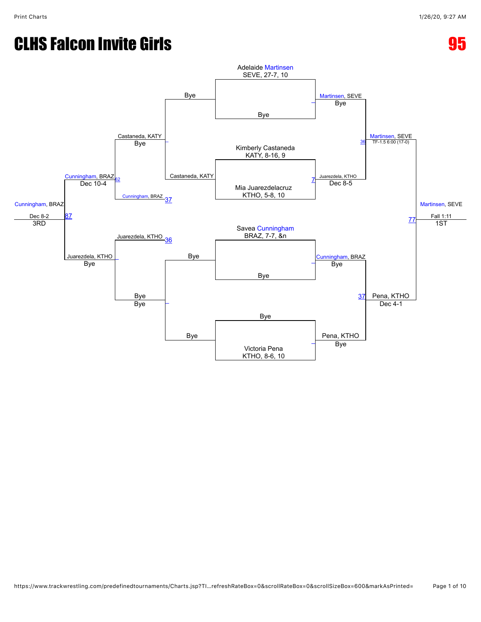# CLHS Falcon Invite Girls **65 and 2012**

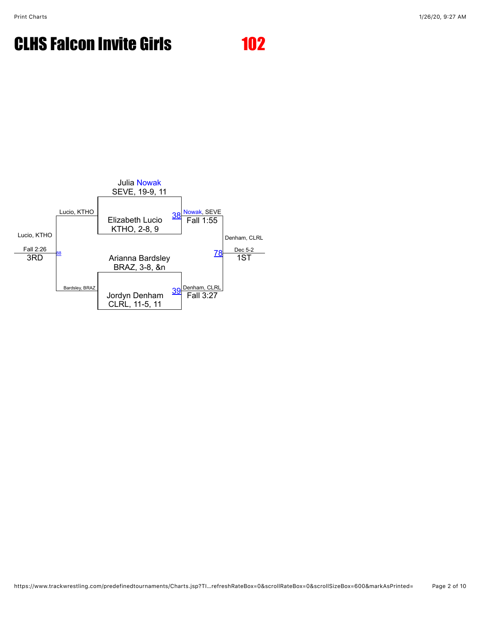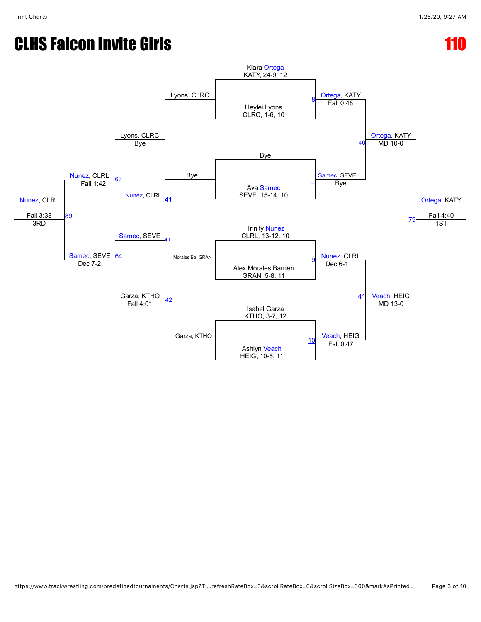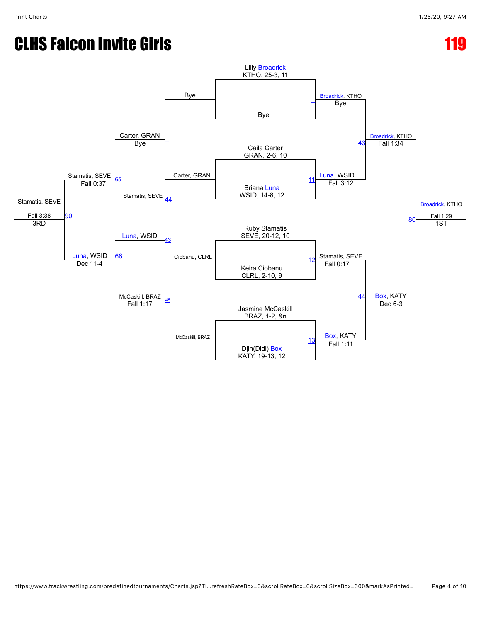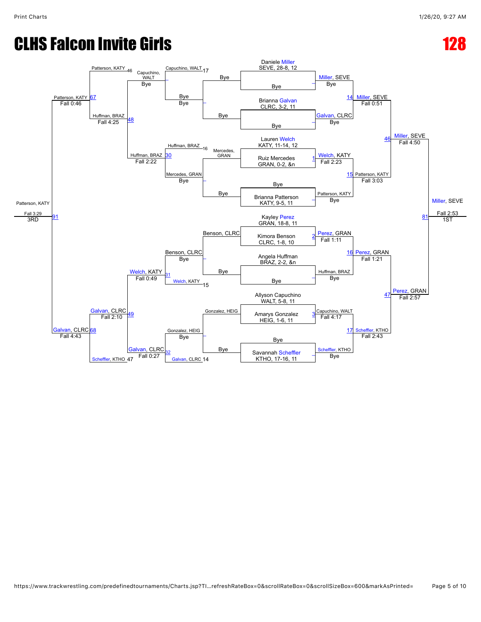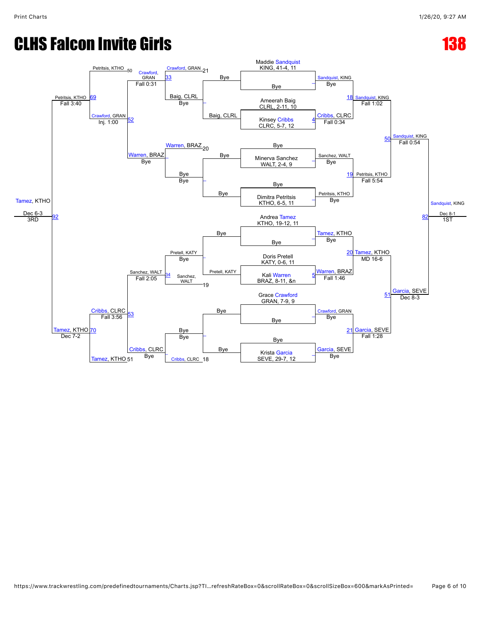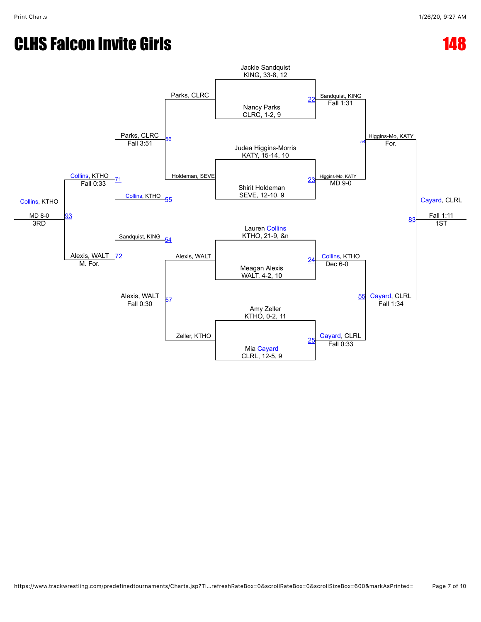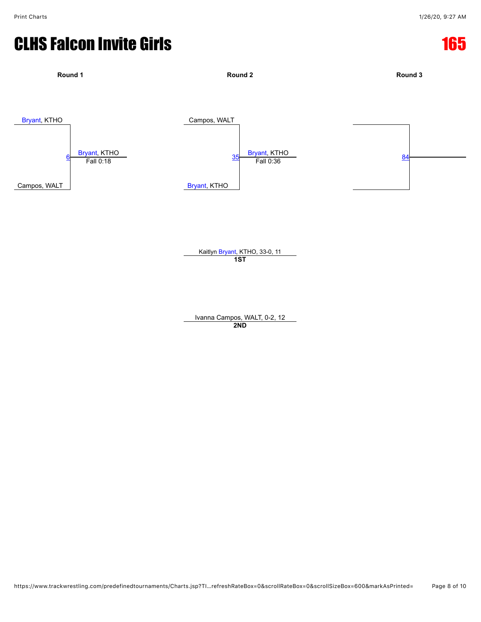

Ivanna Campos, WALT, 0-2, 12 **2ND**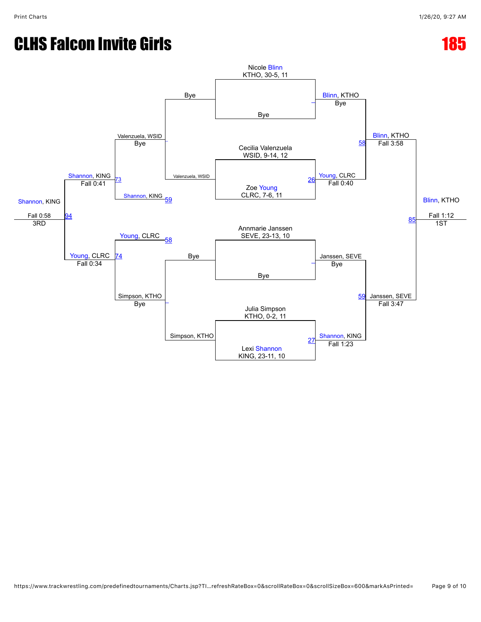